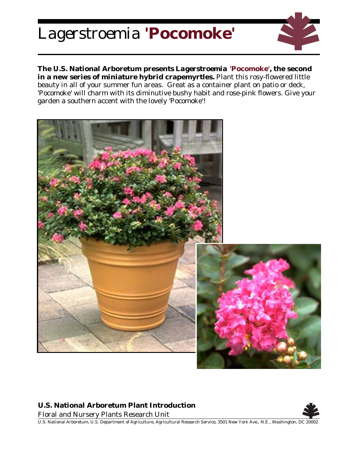## *Lagerstroemia* **'Pocomoke'**



**The U.S. National Arboretum presents** *Lagerstroemia* **'Pocomoke', the second in a new series of miniature hybrid crapemyrtles.** Plant this rosy-flowered little beauty in all of your summer fun areas. Great as a container plant on patio or deck, 'Pocomoke' will charm with its diminutive bushy habit and rose-pink flowers. Give your garden a southern accent with the lovely 'Pocomoke'!



## **U.S. National Arboretum Plant Introduction**

Floral and Nursery Plants Research Unit



U.S. National Arboretum, U.S. Department of Agriculture, Agricultural Research Service, 3501 New York Ave., N.E., Washington, DC 20002